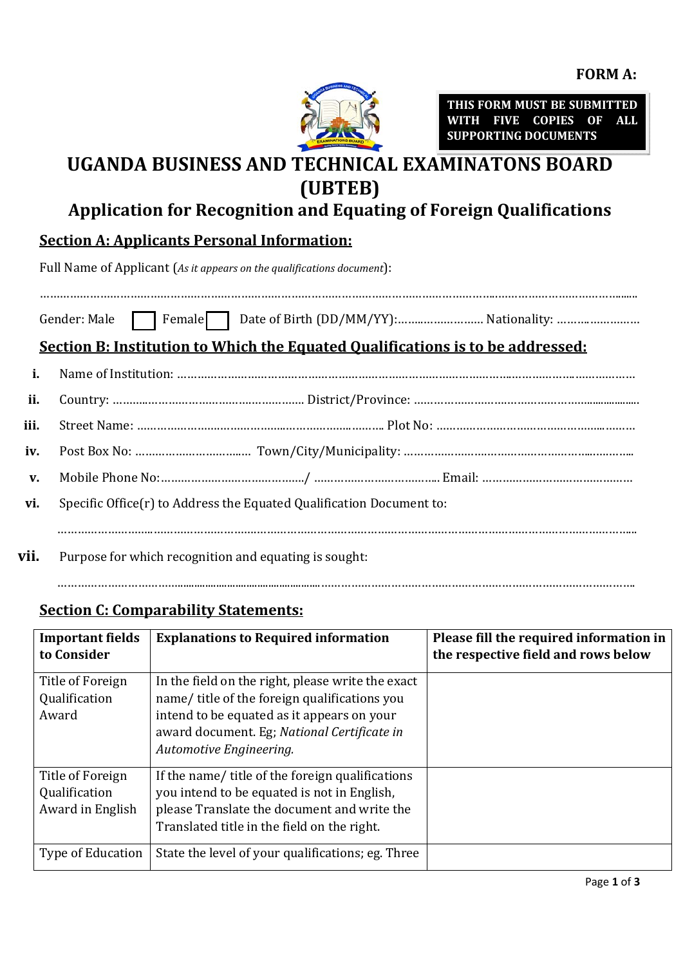

**THIS FORM MUST BE SUBMITTED WITH FIVE COPIES OF ALL SUPPORTING DOCUMENTS** 

# **UGANDA BUSINESS AND TECHNICAL EXAMINATONS BOARD (UBTEB)**

## **Application for Recognition and Equating of Foreign Qualifications**

### **Section A: Applicants Personal Information:**

Full Name of Applicant (*As it appears on the qualifications document*):

………………………………………………………………………………………………………………………..……………………………….......

Gender: Male Female Date of Birth (DD/MM/YY):……..……………… Nationality: ……….……………

## **Section B: Institution to Which the Equated Qualifications is to be addressed:**

| ii. |                                                                                             |  |  |
|-----|---------------------------------------------------------------------------------------------|--|--|
|     |                                                                                             |  |  |
|     |                                                                                             |  |  |
|     |                                                                                             |  |  |
|     | vi. Specific Office(r) to Address the Equated Qualification Document to:                    |  |  |
|     |                                                                                             |  |  |
|     | $\mathbf{H}$ . Decoupled formulately as a second time of a second population of a second to |  |  |

………………………………....................................................………………………………………………………………………………….

**vii.** Purpose for which recognition and equating is sought:

### **Section C: Comparability Statements:**

| <b>Important fields</b><br>to Consider                | <b>Explanations to Required information</b>                                                                                                                                                                               | Please fill the required information in<br>the respective field and rows below |
|-------------------------------------------------------|---------------------------------------------------------------------------------------------------------------------------------------------------------------------------------------------------------------------------|--------------------------------------------------------------------------------|
| Title of Foreign<br>Qualification<br>Award            | In the field on the right, please write the exact<br>name/title of the foreign qualifications you<br>intend to be equated as it appears on your<br>award document. Eg; National Certificate in<br>Automotive Engineering. |                                                                                |
| Title of Foreign<br>Qualification<br>Award in English | If the name/ title of the foreign qualifications<br>you intend to be equated is not in English,<br>please Translate the document and write the<br>Translated title in the field on the right.                             |                                                                                |
| <b>Type of Education</b>                              | State the level of your qualifications; eg. Three                                                                                                                                                                         |                                                                                |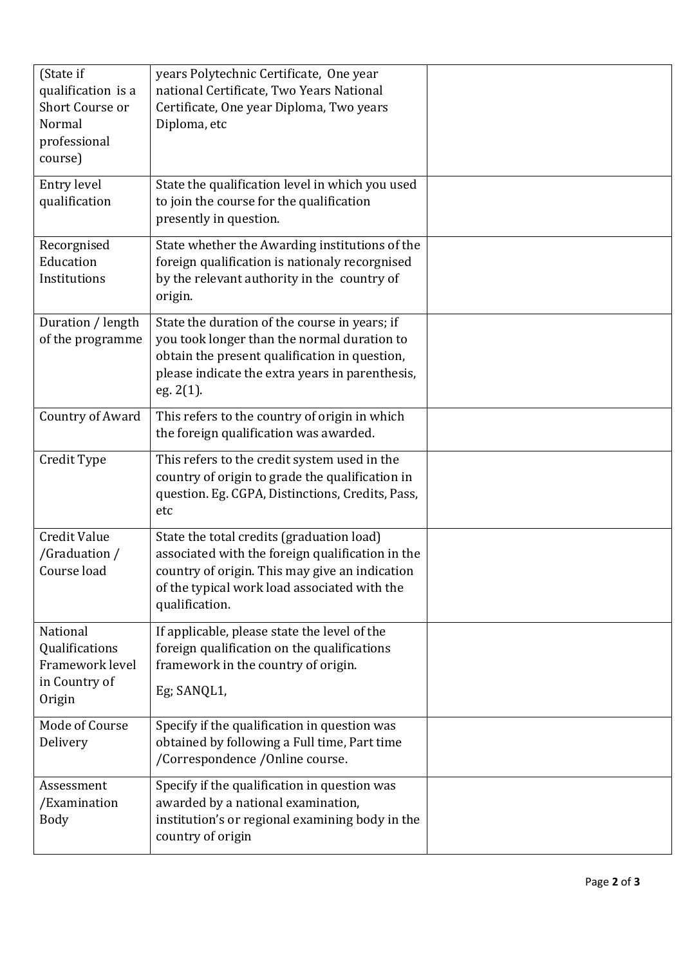| (State if<br>qualification is a<br>Short Course or<br>Normal<br>professional<br>course) | years Polytechnic Certificate, One year<br>national Certificate, Two Years National<br>Certificate, One year Diploma, Two years<br>Diploma, etc                                                                   |  |
|-----------------------------------------------------------------------------------------|-------------------------------------------------------------------------------------------------------------------------------------------------------------------------------------------------------------------|--|
| Entry level<br>qualification                                                            | State the qualification level in which you used<br>to join the course for the qualification<br>presently in question.                                                                                             |  |
| Recorgnised<br>Education<br>Institutions                                                | State whether the Awarding institutions of the<br>foreign qualification is nationaly recorgnised<br>by the relevant authority in the country of<br>origin.                                                        |  |
| Duration / length<br>of the programme                                                   | State the duration of the course in years; if<br>you took longer than the normal duration to<br>obtain the present qualification in question,<br>please indicate the extra years in parenthesis,<br>eg. 2(1).     |  |
| Country of Award                                                                        | This refers to the country of origin in which<br>the foreign qualification was awarded.                                                                                                                           |  |
| Credit Type                                                                             | This refers to the credit system used in the<br>country of origin to grade the qualification in<br>question. Eg. CGPA, Distinctions, Credits, Pass,<br>etc                                                        |  |
| <b>Credit Value</b><br>/Graduation /<br>Course load                                     | State the total credits (graduation load)<br>associated with the foreign qualification in the<br>country of origin. This may give an indication<br>of the typical work load associated with the<br>qualification. |  |
| National<br>Qualifications<br>Framework level<br>in Country of<br>Origin                | If applicable, please state the level of the<br>foreign qualification on the qualifications<br>framework in the country of origin.<br>Eg; SANQL1,                                                                 |  |
| Mode of Course<br>Delivery                                                              | Specify if the qualification in question was<br>obtained by following a Full time, Part time<br>/Correspondence / Online course.                                                                                  |  |
| Assessment<br>/Examination<br>Body                                                      | Specify if the qualification in question was<br>awarded by a national examination,<br>institution's or regional examining body in the<br>country of origin                                                        |  |